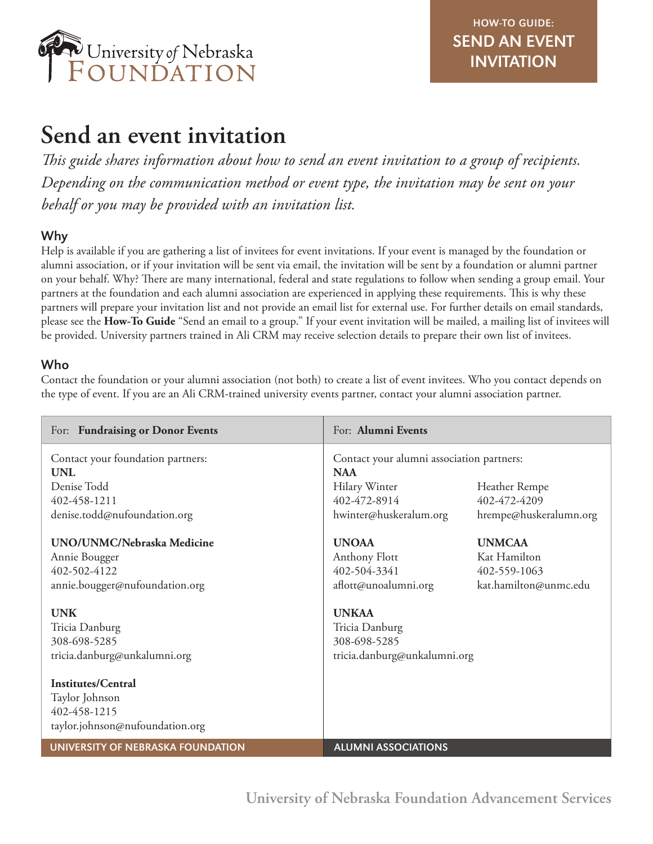

# **Send an event invitation**

*This guide shares information about how to send an event invitation to a group of recipients. Depending on the communication method or event type, the invitation may be sent on your behalf or you may be provided with an invitation list.* 

# Why

Help is available if you are gathering a list of invitees for event invitations. If your event is managed by the foundation or alumni association, or if your invitation will be sent via email, the invitation will be sent by a foundation or alumni partner on your behalf. Why? There are many international, federal and state regulations to follow when sending a group email. Your partners at the foundation and each alumni association are experienced in applying these requirements. This is why these partners will prepare your invitation list and not provide an email list for external use. For further details on email standards, please see the **How-To Guide** "Send an email to a group." If your event invitation will be mailed, a mailing list of invitees will be provided. University partners trained in Ali CRM may receive selection details to prepare their own list of invitees.

# Who

Contact the foundation or your alumni association (not both) to create a list of event invitees. Who you contact depends on the type of event. If you are an Ali CRM-trained university events partner, contact your alumni association partner.

| For: Fundraising or Donor Events                | For: Alumni Events                                      |                        |
|-------------------------------------------------|---------------------------------------------------------|------------------------|
| Contact your foundation partners:<br><b>UNL</b> | Contact your alumni association partners:<br><b>NAA</b> |                        |
| Denise Todd                                     | Hilary Winter                                           | Heather Rempe          |
| 402-458-1211                                    | 402-472-8914                                            | 402-472-4209           |
| denise.todd@nufoundation.org                    | hwinter@huskeralum.org                                  | hrempe@huskeralumn.org |
| UNO/UNMC/Nebraska Medicine                      | <b>UNOAA</b>                                            | <b>UNMCAA</b>          |
| Annie Bougger                                   | Anthony Flott                                           | Kat Hamilton           |
| 402-502-4122                                    | 402-504-3341                                            | 402-559-1063           |
| annie.bougger@nufoundation.org                  | aflott@unoalumni.org                                    | kat.hamilton@unmc.edu  |
| <b>UNK</b>                                      | <b>UNKAA</b>                                            |                        |
| Tricia Danburg                                  | Tricia Danburg                                          |                        |
| 308-698-5285                                    | 308-698-5285                                            |                        |
| tricia.danburg@unkalumni.org                    | tricia.danburg@unkalumni.org                            |                        |
| <b>Institutes/Central</b>                       |                                                         |                        |
| Taylor Johnson                                  |                                                         |                        |
| 402-458-1215                                    |                                                         |                        |
| taylor.johnson@nufoundation.org                 |                                                         |                        |
| UNIVERSITY OF NEBRASKA FOUNDATION               | <b>ALUMNI ASSOCIATIONS</b>                              |                        |